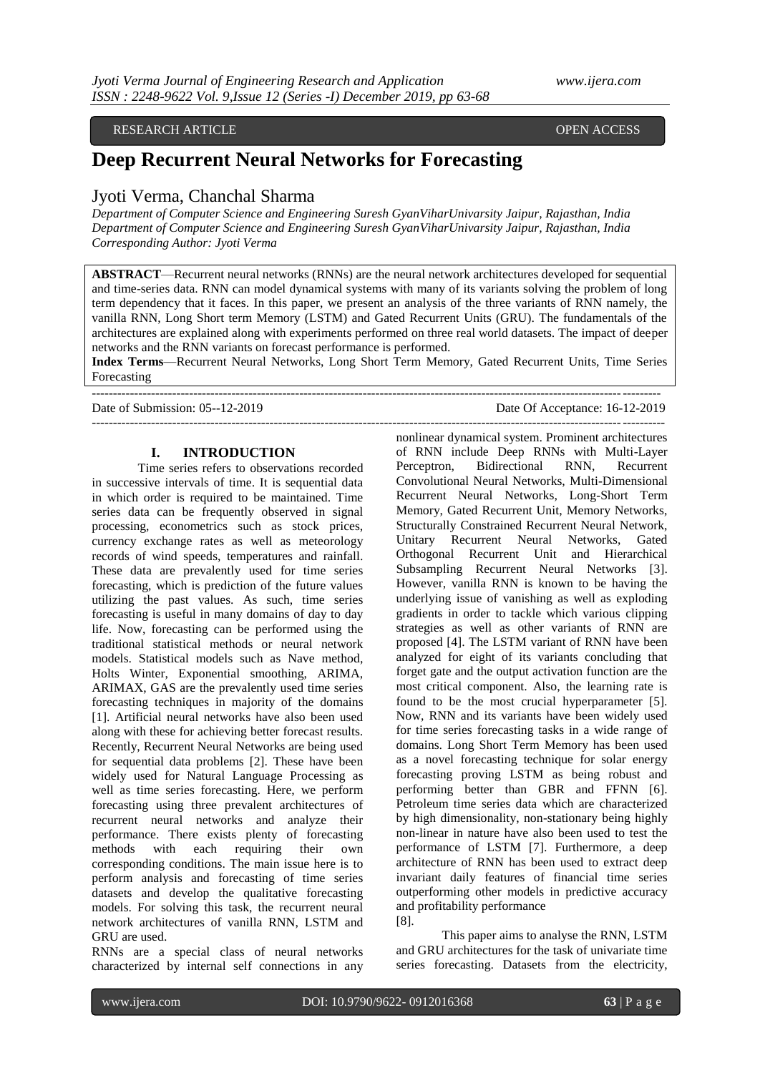### RESEARCH ARTICLE **SECOND ACCESS** OPEN ACCESS OPEN ACCESS OPEN ACCESS OPEN ACCESS OPEN ACCESS OPEN ACCESS OF A SAMPLE ASSAULT A STREET AND A STREET AND A STREET AND A STREET AND A STREET AND A STREET AND A STREET AND A STRE

# **Deep Recurrent Neural Networks for Forecasting**

# Jyoti Verma, Chanchal Sharma

*Department of Computer Science and Engineering Suresh GyanViharUnivarsity Jaipur, Rajasthan, India Department of Computer Science and Engineering Suresh GyanViharUnivarsity Jaipur, Rajasthan, India Corresponding Author: Jyoti Verma*

**ABSTRACT**—Recurrent neural networks (RNNs) are the neural network architectures developed for sequential and time-series data. RNN can model dynamical systems with many of its variants solving the problem of long term dependency that it faces. In this paper, we present an analysis of the three variants of RNN namely, the vanilla RNN, Long Short term Memory (LSTM) and Gated Recurrent Units (GRU). The fundamentals of the architectures are explained along with experiments performed on three real world datasets. The impact of deeper networks and the RNN variants on forecast performance is performed.

**Index Terms**—Recurrent Neural Networks, Long Short Term Memory, Gated Recurrent Units, Time Series Forecasting --------------------------------------------------------------------------------------------------------------------------------------

Date of Submission: 05--12-2019 Date Of Acceptance: 16-12-2019

# **I. INTRODUCTION**

Time series refers to observations recorded in successive intervals of time. It is sequential data in which order is required to be maintained. Time series data can be frequently observed in signal processing, econometrics such as stock prices, currency exchange rates as well as meteorology records of wind speeds, temperatures and rainfall. These data are prevalently used for time series forecasting, which is prediction of the future values utilizing the past values. As such, time series forecasting is useful in many domains of day to day life. Now, forecasting can be performed using the traditional statistical methods or neural network models. Statistical models such as Nave method, Holts Winter, Exponential smoothing, ARIMA, ARIMAX, GAS are the prevalently used time series forecasting techniques in majority of the domains [1]. Artificial neural networks have also been used along with these for achieving better forecast results. Recently, Recurrent Neural Networks are being used for sequential data problems [2]. These have been widely used for Natural Language Processing as well as time series forecasting. Here, we perform forecasting using three prevalent architectures of recurrent neural networks and analyze their performance. There exists plenty of forecasting methods with each requiring their own corresponding conditions. The main issue here is to perform analysis and forecasting of time series datasets and develop the qualitative forecasting models. For solving this task, the recurrent neural network architectures of vanilla RNN, LSTM and GRU are used.

RNNs are a special class of neural networks characterized by internal self connections in any

-------------------------------------------------------------------------------------------------------------------------------------- nonlinear dynamical system. Prominent architectures of RNN include Deep RNNs with Multi-Layer Perceptron, Bidirectional RNN, Recurrent Convolutional Neural Networks, Multi-Dimensional Recurrent Neural Networks, Long-Short Term Memory, Gated Recurrent Unit, Memory Networks, Structurally Constrained Recurrent Neural Network, Unitary Recurrent Neural Networks, Gated Orthogonal Recurrent Unit and Hierarchical Subsampling Recurrent Neural Networks [3]. However, vanilla RNN is known to be having the underlying issue of vanishing as well as exploding gradients in order to tackle which various clipping strategies as well as other variants of RNN are proposed [4]. The LSTM variant of RNN have been analyzed for eight of its variants concluding that forget gate and the output activation function are the most critical component. Also, the learning rate is found to be the most crucial hyperparameter [5]. Now, RNN and its variants have been widely used for time series forecasting tasks in a wide range of domains. Long Short Term Memory has been used as a novel forecasting technique for solar energy forecasting proving LSTM as being robust and performing better than GBR and FFNN [6]. Petroleum time series data which are characterized by high dimensionality, non-stationary being highly non-linear in nature have also been used to test the performance of LSTM [7]. Furthermore, a deep architecture of RNN has been used to extract deep invariant daily features of financial time series outperforming other models in predictive accuracy and profitability performance [8].

> This paper aims to analyse the RNN, LSTM and GRU architectures for the task of univariate time series forecasting. Datasets from the electricity,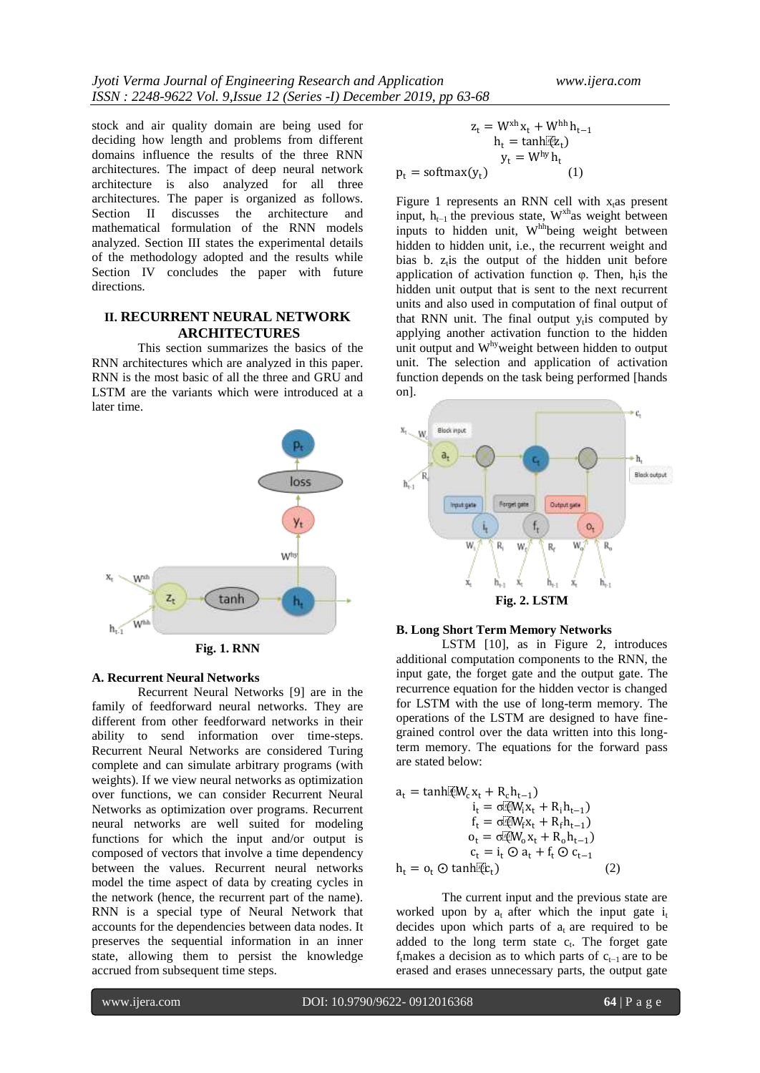stock and air quality domain are being used for deciding how length and problems from different domains influence the results of the three RNN architectures. The impact of deep neural network architecture is also analyzed for all three architectures. The paper is organized as follows. Section II discusses the architecture and mathematical formulation of the RNN models analyzed. Section III states the experimental details of the methodology adopted and the results while Section IV concludes the paper with future directions.

# **II. RECURRENT NEURAL NETWORK ARCHITECTURES**

This section summarizes the basics of the RNN architectures which are analyzed in this paper. RNN is the most basic of all the three and GRU and LSTM are the variants which were introduced at a later time.



**Fig. 1. RNN**

# **A. Recurrent Neural Networks**

Recurrent Neural Networks [9] are in the family of feedforward neural networks. They are different from other feedforward networks in their ability to send information over time-steps. Recurrent Neural Networks are considered Turing complete and can simulate arbitrary programs (with weights). If we view neural networks as optimization over functions, we can consider Recurrent Neural Networks as optimization over programs. Recurrent neural networks are well suited for modeling functions for which the input and/or output is composed of vectors that involve a time dependency between the values. Recurrent neural networks model the time aspect of data by creating cycles in the network (hence, the recurrent part of the name). RNN is a special type of Neural Network that accounts for the dependencies between data nodes. It preserves the sequential information in an inner state, allowing them to persist the knowledge accrued from subsequent time steps.

$$
z_{t} = W^{xh} x_{t} + W^{hh} h_{t-1}
$$

$$
h_{t} = \tanh[\tilde{q}z_{t}]
$$

$$
y_{t} = W^{hy} h_{t}
$$

$$
p_{t} = \text{softmax}(y_{t})
$$
 (1)

Figure 1 represents an RNN cell with  $x<sub>t</sub>$  as present input,  $h_{t-1}$  the previous state, W<sup>xh</sup>as weight between inputs to hidden unit, W<sup>hh</sup>being weight between hidden to hidden unit, i.e., the recurrent weight and bias b.  $z_t$  is the output of the hidden unit before application of activation function  $\varphi$ . Then, h<sub>t</sub> is the hidden unit output that is sent to the next recurrent units and also used in computation of final output of that RNN unit. The final output y<sub>t</sub>is computed by applying another activation function to the hidden unit output and W<sup>hy</sup>weight between hidden to output unit. The selection and application of activation function depends on the task being performed [hands on].



#### **B. Long Short Term Memory Networks**

LSTM [10], as in Figure 2, introduces additional computation components to the RNN, the input gate, the forget gate and the output gate. The recurrence equation for the hidden vector is changed for LSTM with the use of long-term memory. The operations of the LSTM are designed to have finegrained control over the data written into this longterm memory. The equations for the forward pass are stated below:

$$
\begin{array}{ll} a_t = \tanh[\overline{\ell}W_c x_t + R_c h_{t-1}) \\ \hspace{2.5cm} i_t = \sigma \overline{\ell}W_i x_t + R_i h_{t-1}) \\ f_t = \sigma \overline{\ell}W_f x_t + R_f h_{t-1}) \\ o_t = \sigma \overline{\ell}W_o x_t + R_o h_{t-1}) \\ c_t = i_t \odot a_t + f_t \odot c_{t-1} \\ h_t = o_t \odot \tanh[\overline{\ell}t_t) \end{array} \eqno{(2)}
$$

The current input and the previous state are worked upon by  $a_t$  after which the input gate  $i_t$ decides upon which parts of  $a_t$  are required to be added to the long term state  $c_t$ . The forget gate f<sub>t</sub>makes a decision as to which parts of  $c_{t-1}$  are to be erased and erases unnecessary parts, the output gate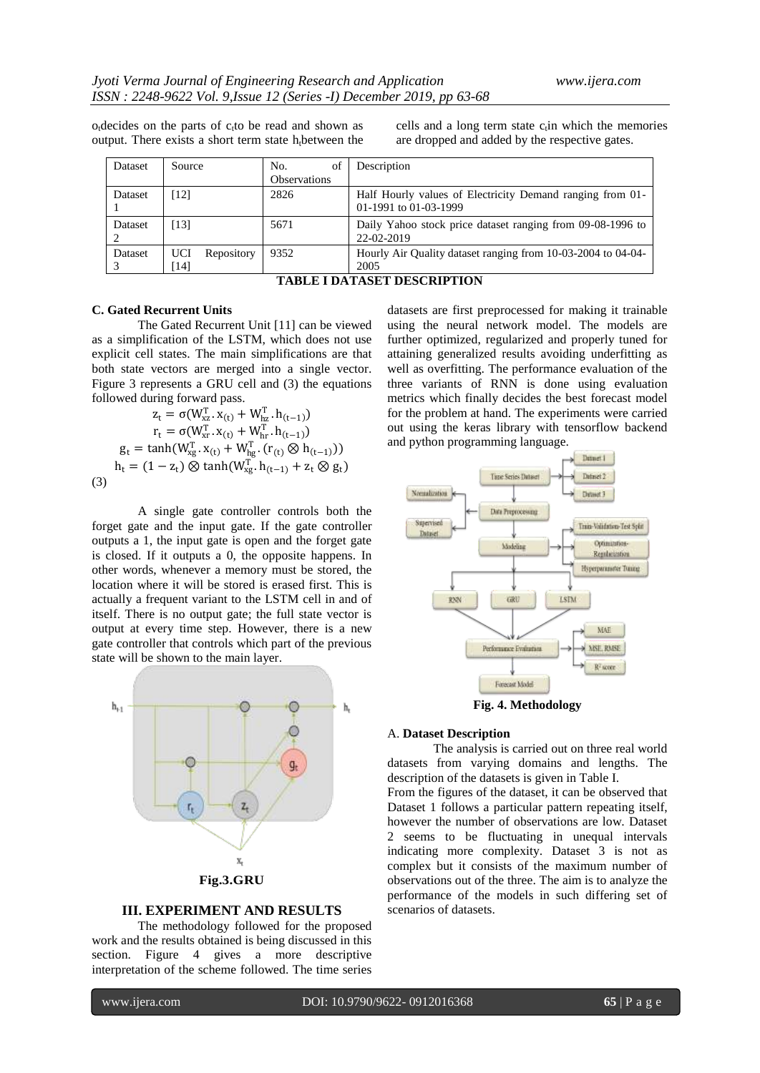$o_t$  decides on the parts of  $c_t$  to be read and shown as output. There exists a short term state  $h_i$ between the

cells and a long term state  $c<sub>t</sub>$ in which the memories are dropped and added by the respective gates.

| <b>Dataset</b> | Source                             | of<br>No.           | Description                                                                        |
|----------------|------------------------------------|---------------------|------------------------------------------------------------------------------------|
|                |                                    | <b>Observations</b> |                                                                                    |
| Dataset        | [12]                               | 2826                | Half Hourly values of Electricity Demand ranging from 01-<br>01-1991 to 01-03-1999 |
| Dataset        | [13]                               | 5671                | Daily Yahoo stock price dataset ranging from 09-08-1996 to<br>22-02-2019           |
| Dataset        | <b>UCI</b><br>Repository<br>$[14]$ | 9352                | Hourly Air Quality dataset ranging from 10-03-2004 to 04-04-<br>2005               |

**TABLE I DATASET DESCRIPTION**

#### **C. Gated Recurrent Units**

The Gated Recurrent Unit [11] can be viewed as a simplification of the LSTM, which does not use explicit cell states. The main simplifications are that both state vectors are merged into a single vector. Figure 3 represents a GRU cell and (3) the equations followed during forward pass.

$$
z_{t} = \sigma(W_{xx}^{T}. x_{(t)} + W_{hx}^{T}. h_{(t-1)})
$$
  
\n
$$
r_{t} = \sigma(W_{xr}^{T}. x_{(t)} + W_{hr}^{T}. h_{(t-1)})
$$
  
\n
$$
g_{t} = \tanh(W_{xg}^{T}. x_{(t)} + W_{hg}^{T}. (r_{(t)} \otimes h_{(t-1)}))
$$
  
\n
$$
h_{t} = (1 - z_{t}) \otimes \tanh(W_{xg}^{T}. h_{(t-1)} + z_{t} \otimes g_{t})
$$
  
\n(3)

A single gate controller controls both the forget gate and the input gate. If the gate controller outputs a 1, the input gate is open and the forget gate is closed. If it outputs a 0, the opposite happens. In other words, whenever a memory must be stored, the location where it will be stored is erased first. This is actually a frequent variant to the LSTM cell in and of itself. There is no output gate; the full state vector is output at every time step. However, there is a new gate controller that controls which part of the previous state will be shown to the main layer.



#### **III. EXPERIMENT AND RESULTS**

The methodology followed for the proposed work and the results obtained is being discussed in this section. Figure 4 gives a more descriptive interpretation of the scheme followed. The time series

datasets are first preprocessed for making it trainable using the neural network model. The models are further optimized, regularized and properly tuned for attaining generalized results avoiding underfitting as well as overfitting. The performance evaluation of the three variants of RNN is done using evaluation metrics which finally decides the best forecast model for the problem at hand. The experiments were carried out using the keras library with tensorflow backend and python programming language.



**Fig. 4. Methodology**

#### A. **Dataset Description**

The analysis is carried out on three real world datasets from varying domains and lengths. The description of the datasets is given in Table I.

From the figures of the dataset, it can be observed that Dataset 1 follows a particular pattern repeating itself, however the number of observations are low. Dataset 2 seems to be fluctuating in unequal intervals indicating more complexity. Dataset 3 is not as complex but it consists of the maximum number of observations out of the three. The aim is to analyze the performance of the models in such differing set of scenarios of datasets.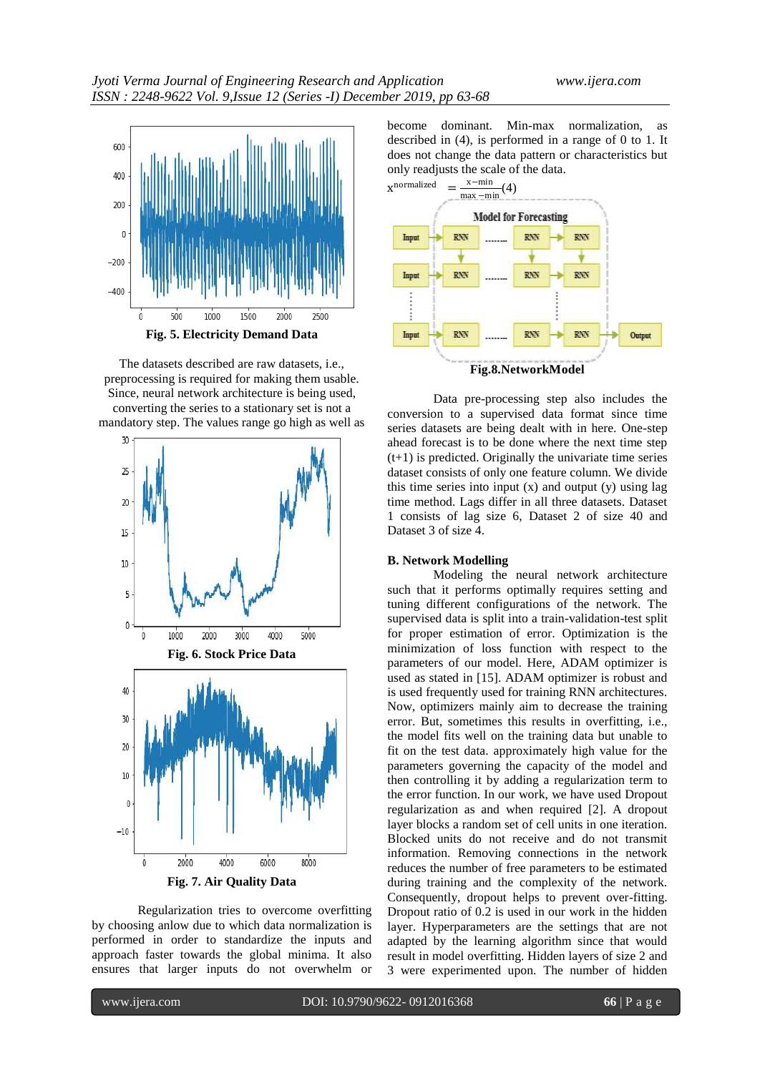

The datasets described are raw datasets, i.e., preprocessing is required for making them usable. Since, neural network architecture is being used, converting the series to a stationary set is not a mandatory step. The values range go high as well as



Regularization tries to overcome overfitting by choosing anlow due to which data normalization is performed in order to standardize the inputs and approach faster towards the global minima. It also ensures that larger inputs do not overwhelm or

become dominant. Min-max normalization, as described in (4), is performed in a range of 0 to 1. It does not change the data pattern or characteristics but only readjusts the scale of the data.



Data pre-processing step also includes the conversion to a supervised data format since time series datasets are being dealt with in here. One-step ahead forecast is to be done where the next time step  $(t+1)$  is predicted. Originally the univariate time series dataset consists of only one feature column. We divide this time series into input  $(x)$  and output  $(y)$  using lag time method. Lags differ in all three datasets. Dataset 1 consists of lag size 6, Dataset 2 of size 40 and Dataset 3 of size 4.

#### **B. Network Modelling**

Modeling the neural network architecture such that it performs optimally requires setting and tuning different configurations of the network. The supervised data is split into a train-validation-test split for proper estimation of error. Optimization is the minimization of loss function with respect to the parameters of our model. Here, ADAM optimizer is used as stated in [15]. ADAM optimizer is robust and is used frequently used for training RNN architectures. Now, optimizers mainly aim to decrease the training error. But, sometimes this results in overfitting, i.e., the model fits well on the training data but unable to fit on the test data. approximately high value for the parameters governing the capacity of the model and then controlling it by adding a regularization term to the error function. In our work, we have used Dropout regularization as and when required [2]. A dropout layer blocks a random set of cell units in one iteration. Blocked units do not receive and do not transmit information. Removing connections in the network reduces the number of free parameters to be estimated during training and the complexity of the network. Consequently, dropout helps to prevent over-fitting. Dropout ratio of 0.2 is used in our work in the hidden layer. Hyperparameters are the settings that are not adapted by the learning algorithm since that would result in model overfitting. Hidden layers of size 2 and 3 were experimented upon. The number of hidden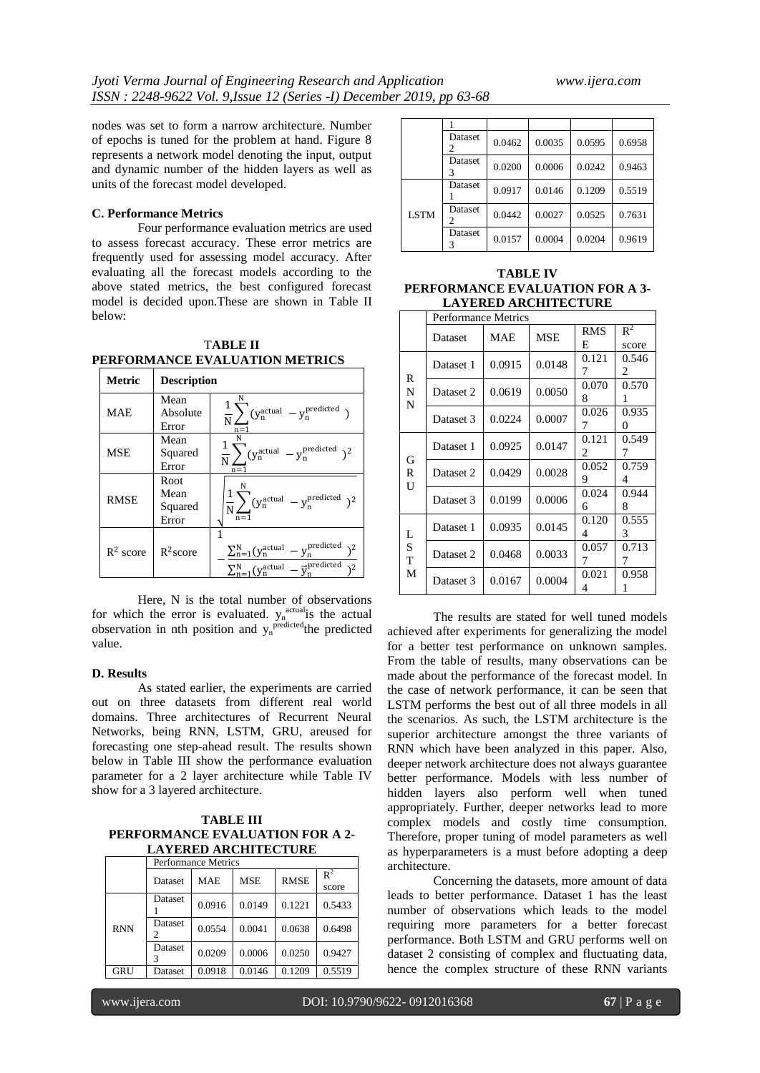nodes was set to form a narrow architecture. Number of epochs is tuned for the problem at hand. Figure 8 represents a network model denoting the input, output and dynamic number of the hidden layers as well as units of the forecast model developed.

### **C. Performance Metrics**

Four performance evaluation metrics are used to assess forecast accuracy. These error metrics are frequently used for assessing model accuracy. After evaluating all the forecast models according to the above stated metrics, the best configured forecast model is decided upon.These are shown in Table II below:

T**ABLE II PERFORMANCE EVALUATION METRICS**

| <b>Metric</b> | <b>Description</b>               |                                                                                                                         |  |  |
|---------------|----------------------------------|-------------------------------------------------------------------------------------------------------------------------|--|--|
| <b>MAE</b>    | Mean<br>Absolute<br>Error        | $\frac{1}{N}\sum_{n}(y_n^{\text{actual}} - y_n^{\text{predicted}})$                                                     |  |  |
| MSE           | Mean<br>Squared<br>Error         | $\frac{1}{N}$<br>$(y_n^{\text{actual}} - y_n^{\text{predicted}})^2$<br>$n =$                                            |  |  |
| <b>RMSE</b>   | Root<br>Mean<br>Squared<br>Error | $\frac{1}{N}\sum_{n} (y_n^{\text{actual}} - y_n^{\text{predicted}})^2$<br>$n=1$                                         |  |  |
| $R^2$ score   | $R^2$ score                      | $\sum_{n=1}^{N} (y_n^{\text{actual}} - y_n^{\text{predicted}})$<br>$V_p^{\text{actual}} - \vec{v}_p^{\text{predicted}}$ |  |  |

Here, N is the total number of observations for which the error is evaluated.  $y_n^{\text{actual}}$  is the actual observation in nth position and  $y_n^{\text{predicted}}$  the predicted value.

#### **D. Results**

As stated earlier, the experiments are carried out on three datasets from different real world domains. Three architectures of Recurrent Neural Networks, being RNN, LSTM, GRU, areused for forecasting one step-ahead result. The results shown below in Table III show the performance evaluation parameter for a 2 layer architecture while Table IV show for a 3 layered architecture.

**TABLE III PERFORMANCE EVALUATION FOR A 2- LAYERED ARCHITECTURE**

|            | <b>Performance Metrics</b> |            |            |             |                |
|------------|----------------------------|------------|------------|-------------|----------------|
|            | Dataset                    | <b>MAE</b> | <b>MSE</b> | <b>RMSE</b> | $R^2$<br>score |
|            | Dataset                    | 0.0916     | 0.0149     | 0.1221      | 0.5433         |
| <b>RNN</b> | Dataset                    | 0.0554     | 0.0041     | 0.0638      | 0.6498         |
|            | Dataset                    | 0.0209     | 0.0006     | 0.0250      | 0.9427         |
| GRU        | Dataset                    | 0.0918     | 0.0146     | 0.1209      | 0.5519         |

|             | Dataset<br>2 | 0.0462 | 0.0035 | 0.0595 | 0.6958 |
|-------------|--------------|--------|--------|--------|--------|
|             | Dataset      | 0.0200 | 0.0006 | 0.0242 | 0.9463 |
| <b>LSTM</b> | Dataset      | 0.0917 | 0.0146 | 0.1209 | 0.5519 |
|             | Dataset      | 0.0442 | 0.0027 | 0.0525 | 0.7631 |
|             | Dataset<br>3 | 0.0157 | 0.0004 | 0.0204 | 0.9619 |

**TABLE IV PERFORMANCE EVALUATION FOR A 3- LAYERED ARCHITECTURE**

|                  | <b>Performance Metrics</b> |        |            |                 |                   |
|------------------|----------------------------|--------|------------|-----------------|-------------------|
|                  | Dataset                    | MAE    | <b>MSE</b> | <b>RMS</b><br>E | $R^2$<br>score    |
| R<br>N<br>N      | Dataset 1                  | 0.0915 | 0.0148     | 0.121<br>7      | 0.546<br>2        |
|                  | Dataset 2                  | 0.0619 | 0.0050     | 0.070<br>8      | 0.570<br>1        |
|                  | Dataset 3                  | 0.0224 | 0.0007     | 0.026<br>7      | 0.935<br>$\Omega$ |
| G<br>R<br>U      | Dataset 1                  | 0.0925 | 0.0147     | 0.121<br>2      | 0.549<br>7        |
|                  | Dataset 2                  | 0.0429 | 0.0028     | 0.052<br>9      | 0.759<br>4        |
|                  | Dataset 3                  | 0.0199 | 0.0006     | 0.024<br>6      | 0.944<br>8        |
| L<br>S<br>T<br>M | Dataset 1                  | 0.0935 | 0.0145     | 0.120<br>4      | 0.555<br>3        |
|                  | Dataset 2                  | 0.0468 | 0.0033     | 0.057<br>7      | 0.713<br>7        |
|                  | Dataset 3                  | 0.0167 | 0.0004     | 0.021<br>4      | 0.958<br>1        |

The results are stated for well tuned models achieved after experiments for generalizing the model for a better test performance on unknown samples. From the table of results, many observations can be made about the performance of the forecast model. In the case of network performance, it can be seen that LSTM performs the best out of all three models in all the scenarios. As such, the LSTM architecture is the superior architecture amongst the three variants of RNN which have been analyzed in this paper. Also, deeper network architecture does not always guarantee better performance. Models with less number of hidden layers also perform well when tuned appropriately. Further, deeper networks lead to more complex models and costly time consumption. Therefore, proper tuning of model parameters as well as hyperparameters is a must before adopting a deep architecture.

Concerning the datasets, more amount of data leads to better performance. Dataset 1 has the least number of observations which leads to the model requiring more parameters for a better forecast performance. Both LSTM and GRU performs well on dataset 2 consisting of complex and fluctuating data, hence the complex structure of these RNN variants